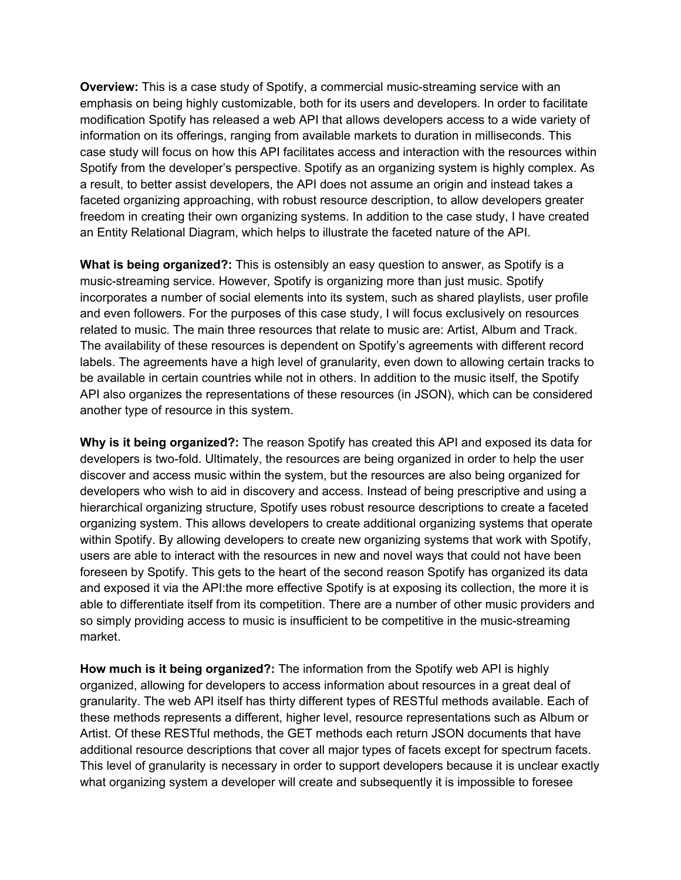**Overview:** This is a case study of Spotify, a commercial music-streaming service with an emphasis on being highly customizable, both for its users and developers. In order to facilitate modification Spotify has released a web API that allows developers access to a wide variety of information on its offerings, ranging from available markets to duration in milliseconds. This case study will focus on how this API facilitates access and interaction with the resources within Spotify from the developer's perspective. Spotify as an organizing system is highly complex. As a result, to better assist developers, the API does not assume an origin and instead takes a faceted organizing approaching, with robust resource description, to allow developers greater freedom in creating their own organizing systems. In addition to the case study, I have created an Entity Relational Diagram, which helps to illustrate the faceted nature of the API.

**What is being organized?:** This is ostensibly an easy question to answer, as Spotify is a music-streaming service. However, Spotify is organizing more than just music. Spotify incorporates a number of social elements into its system, such as shared playlists, user profile and even followers. For the purposes of this case study, I will focus exclusively on resources related to music. The main three resources that relate to music are: Artist, Album and Track. The availability of these resources is dependent on Spotify's agreements with different record labels. The agreements have a high level of granularity, even down to allowing certain tracks to be available in certain countries while not in others. In addition to the music itself, the Spotify API also organizes the representations of these resources (in JSON), which can be considered another type of resource in this system.

**Why is it being organized?:** The reason Spotify has created this API and exposed its data for developers is two-fold. Ultimately, the resources are being organized in order to help the user discover and access music within the system, but the resources are also being organized for developers who wish to aid in discovery and access. Instead of being prescriptive and using a hierarchical organizing structure, Spotify uses robust resource descriptions to create a faceted organizing system. This allows developers to create additional organizing systems that operate within Spotify. By allowing developers to create new organizing systems that work with Spotify, users are able to interact with the resources in new and novel ways that could not have been foreseen by Spotify. This gets to the heart of the second reason Spotify has organized its data and exposed it via the API:the more effective Spotify is at exposing its collection, the more it is able to differentiate itself from its competition. There are a number of other music providers and so simply providing access to music is insufficient to be competitive in the music-streaming market.

**How much is it being organized?:** The information from the Spotify web API is highly organized, allowing for developers to access information about resources in a great deal of granularity. The web API itself has thirty different types of RESTful methods available. Each of these methods represents a different, higher level, resource representations such as Album or Artist. Of these RESTful methods, the GET methods each return JSON documents that have additional resource descriptions that cover all major types of facets except for spectrum facets. This level of granularity is necessary in order to support developers because it is unclear exactly what organizing system a developer will create and subsequently it is impossible to foresee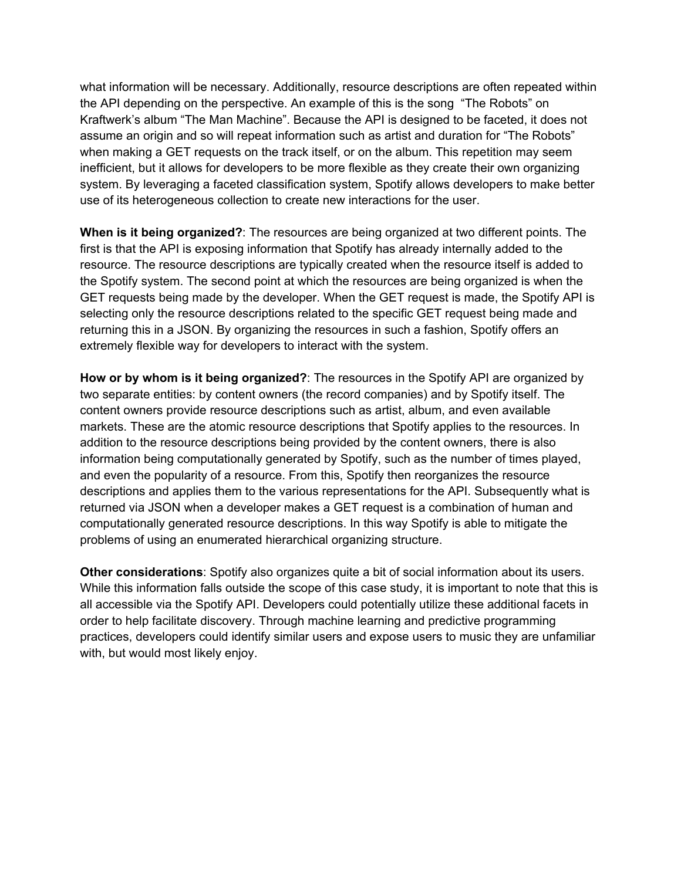what information will be necessary. Additionally, resource descriptions are often repeated within the API depending on the perspective. An example of this is the song "The Robots" on Kraftwerk's album "The Man Machine". Because the API is designed to be faceted, it does not assume an origin and so will repeat information such as artist and duration for "The Robots" when making a GET requests on the track itself, or on the album. This repetition may seem inefficient, but it allows for developers to be more flexible as they create their own organizing system. By leveraging a faceted classification system, Spotify allows developers to make better use of its heterogeneous collection to create new interactions for the user.

**When is it being organized?**: The resources are being organized at two different points. The first is that the API is exposing information that Spotify has already internally added to the resource. The resource descriptions are typically created when the resource itself is added to the Spotify system. The second point at which the resources are being organized is when the GET requests being made by the developer. When the GET request is made, the Spotify API is selecting only the resource descriptions related to the specific GET request being made and returning this in a JSON. By organizing the resources in such a fashion, Spotify offers an extremely flexible way for developers to interact with the system.

**How or by whom is it being organized?**: The resources in the Spotify API are organized by two separate entities: by content owners (the record companies) and by Spotify itself. The content owners provide resource descriptions such as artist, album, and even available markets. These are the atomic resource descriptions that Spotify applies to the resources. In addition to the resource descriptions being provided by the content owners, there is also information being computationally generated by Spotify, such as the number of times played, and even the popularity of a resource. From this, Spotify then reorganizes the resource descriptions and applies them to the various representations for the API. Subsequently what is returned via JSON when a developer makes a GET request is a combination of human and computationally generated resource descriptions. In this way Spotify is able to mitigate the problems of using an enumerated hierarchical organizing structure.

**Other considerations**: Spotify also organizes quite a bit of social information about its users. While this information falls outside the scope of this case study, it is important to note that this is all accessible via the Spotify API. Developers could potentially utilize these additional facets in order to help facilitate discovery. Through machine learning and predictive programming practices, developers could identify similar users and expose users to music they are unfamiliar with, but would most likely enjoy.